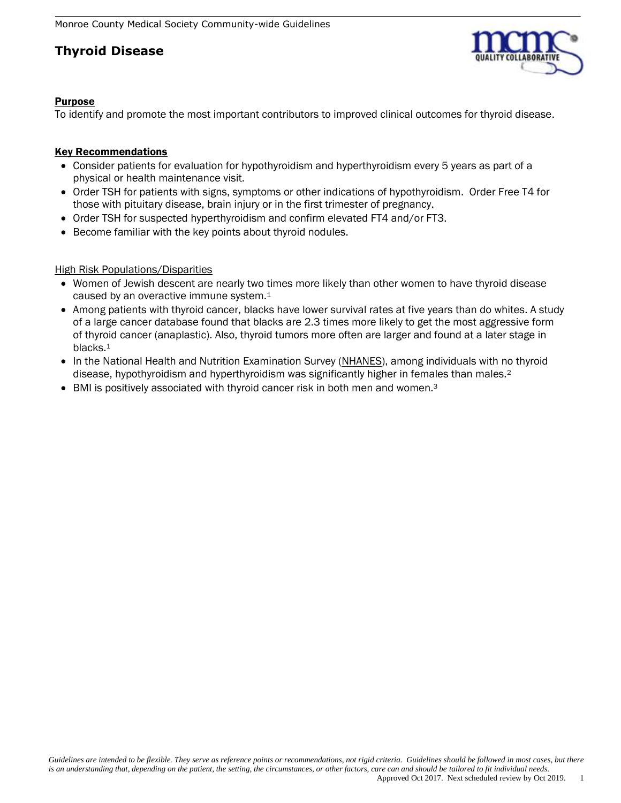

### Purpose

To identify and promote the most important contributors to improved clinical outcomes for thyroid disease.

### **Key Recommendations**

- Consider patients for evaluation for hypothyroidism and hyperthyroidism every 5 years as part of a physical or health maintenance visit.
- Order TSH for patients with signs, symptoms or other indications of hypothyroidism. Order Free T4 for those with pituitary disease, brain injury or in the first trimester of pregnancy.
- Order TSH for suspected hyperthyroidism and confirm elevated FT4 and/or FT3.
- Become familiar with the key points about thyroid nodules.

### High Risk Populations/Disparities

- Women of Jewish descent are nearly two times more likely than other women to have thyroid disease caused by an overactive immune system.<sup>1</sup>
- Among patients with thyroid cancer, blacks have lower survival rates at five years than do whites. A study of a large cancer database found that blacks are 2.3 times more likely to get the most aggressive form of thyroid cancer (anaplastic). Also, thyroid tumors more often are larger and found at a later stage in blacks.<sup>1</sup>
- In the National Health and Nutrition Examination Survey [\(NHANES\)](http://www.cdc.gov/nchs/nhanes.htm), among individuals with no thyroid disease, hypothyroidism and hyperthyroidism was significantly higher in females than males.<sup>2</sup>
- BMI is positively associated with thyroid cancer risk in both men and women.<sup>3</sup>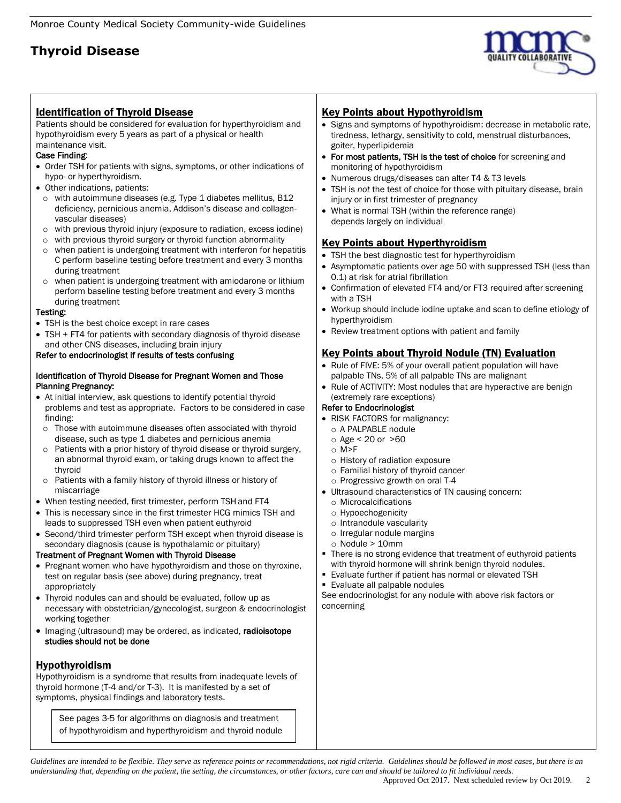

### Identification of Thyroid Disease

Patients should be considered for evaluation for hyperthyroidism and hypothyroidism every 5 years as part of a physical or health maintenance visit.

#### Case Finding:

- Order TSH for patients with signs, symptoms, or other indications of hypo- or hyperthyroidism.
- Other indications, patients:
- o with autoimmune diseases (e.g. Type 1 diabetes mellitus, B12 deficiency, pernicious anemia, Addison's disease and collagenvascular diseases)
- o with previous thyroid injury (exposure to radiation, excess iodine)
- o with previous thyroid surgery or thyroid function abnormality
- o when patient is undergoing treatment with interferon for hepatitis C perform baseline testing before treatment and every 3 months during treatment
- o when patient is undergoing treatment with amiodarone or lithium perform baseline testing before treatment and every 3 months during treatment

#### Testing:

- TSH is the best choice except in rare cases
- TSH + FT4 for patients with secondary diagnosis of thyroid disease and other CNS diseases, including brain injury

#### Refer to endocrinologist if results of tests confusing

#### Identification of Thyroid Disease for Pregnant Women and Those Planning Pregnancy:

- At initial interview, ask questions to identify potential thyroid problems and test as appropriate. Factors to be considered in case finding:
	- o Those with autoimmune diseases often associated with thyroid disease, such as type 1 diabetes and pernicious anemia
	- o Patients with a prior history of thyroid disease or thyroid surgery, an abnormal thyroid exam, or taking drugs known to affect the thyroid
- o Patients with a family history of thyroid illness or history of miscarriage
- When testing needed, first trimester, perform TSH and FT4
- This is necessary since in the first trimester HCG mimics TSH and leads to suppressed TSH even when patient euthyroid
- Second/third trimester perform TSH except when thyroid disease is secondary diagnosis (cause is hypothalamic or pituitary)

#### Treatment of Pregnant Women with Thyroid Disease

- Pregnant women who have hypothyroidism and those on thyroxine, test on regular basis (see above) during pregnancy, treat appropriately
- Thyroid nodules can and should be evaluated, follow up as necessary with obstetrician/gynecologist, surgeon & endocrinologist working together
- Imaging (ultrasound) may be ordered, as indicated, radioisotope studies should not be done

### Hypothyroidism

Hypothyroidism is a syndrome that results from inadequate levels of thyroid hormone (T-4 and/or T-3). It is manifested by a set of symptoms, physical findings and laboratory tests.

See pages 3-5 for algorithms on diagnosis and treatment of hypothyroidism and hyperthyroidism and thyroid nodule

### Key Points about Hypothyroidism

- Signs and symptoms of hypothyroidism: decrease in metabolic rate, tiredness, lethargy, sensitivity to cold, menstrual disturbances, goiter, hyperlipidemia
- For most patients, TSH is the test of choice for screening and monitoring of hypothyroidism
- Numerous drugs/diseases can alter T4 & T3 levels
- TSH is *not* the test of choice for those with pituitary disease, brain injury or in first trimester of pregnancy
- What is normal TSH (within the reference range) depends largely on individual

# Key Points about Hyperthyroidism

- TSH the best diagnostic test for hyperthyroidism
- Asymptomatic patients over age 50 with suppressed TSH (less than 0.1) at risk for atrial fibrillation
- Confirmation of elevated FT4 and/or FT3 required after screening with a TSH
- Workup should include iodine uptake and scan to define etiology of hyperthyroidism
- Review treatment options with patient and family

### Key Points about Thyroid Nodule (TN) Evaluation

- Rule of FIVE: 5% of your overall patient population will have palpable TNs, 5% of all palpable TNs are malignant
- Rule of ACTIVITY: Most nodules that are hyperactive are benign (extremely rare exceptions)

#### Refer to Endocrinologist

- RISK FACTORS for malignancy:
- o A PALPABLE nodule
- $\circ$  Age < 20 or  $>60$
- $\cap$  M>F
- o History of radiation exposure
- o Familial history of thyroid cancer
- o Progressive growth on oral T-4
- Ultrasound characteristics of TN causing concern:
	- o Microcalcifications
	- o Hypoechogenicity
	- o Intranodule vascularity
	- o Irregular nodule margins
	- o Nodule > 10mm
- There is no strong evidence that treatment of euthyroid patients with thyroid hormone will shrink benign thyroid nodules.
- Evaluate further if patient has normal or elevated TSH
- **Evaluate all palpable nodules**

See endocrinologist for any nodule with above risk factors or concerning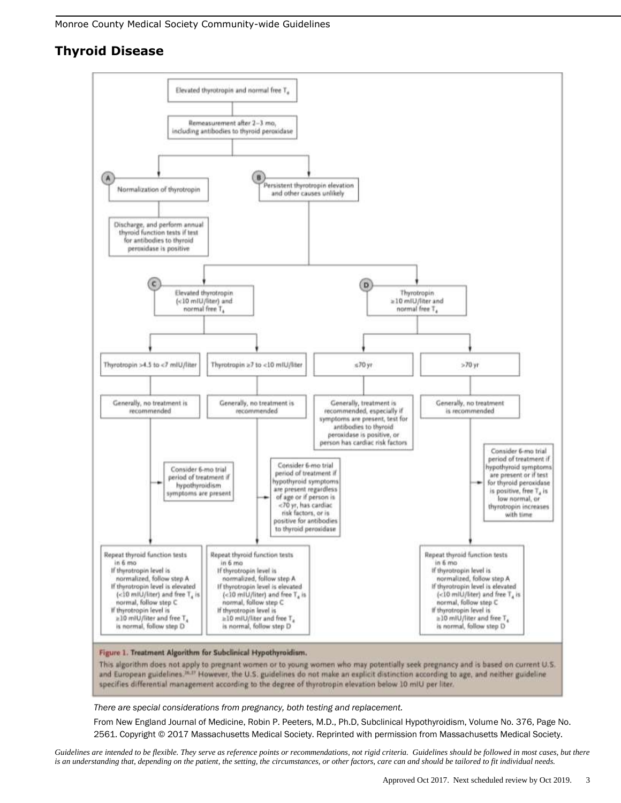

*There are special considerations from pregnancy, both testing and replacement.*

From New England Journal of Medicine, Robin P. Peeters, M.D., Ph.D, Subclinical Hypothyroidism, Volume No. 376, Page No. 2561. Copyright © 2017 Massachusetts Medical Society. Reprinted with permission from Massachusetts Medical Society.

*Guidelines are intended to be flexible. They serve as reference points or recommendations, not rigid criteria. Guidelines should be followed in most cases, but there is an understanding that, depending on the patient, the setting, the circumstances, or other factors, care can and should be tailored to fit individual needs.*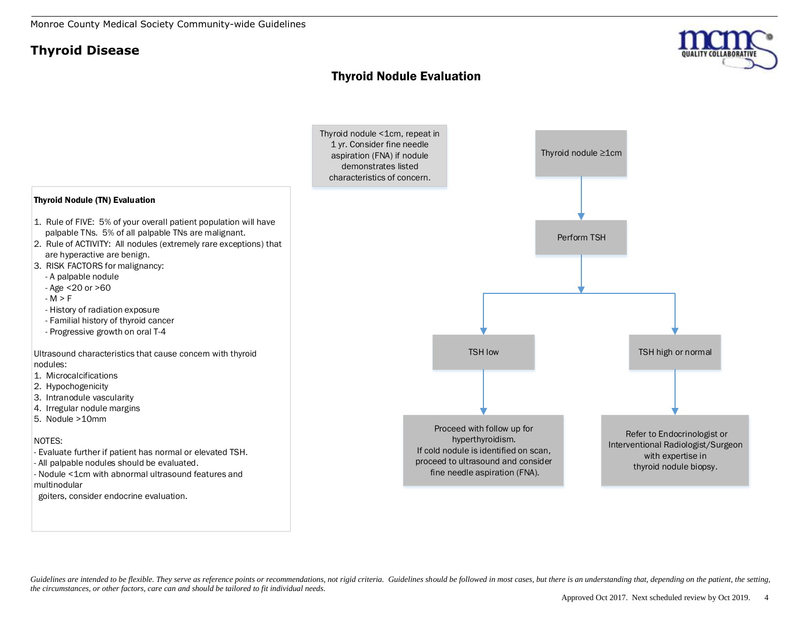## Thyroid Nodule Evaluation





Guidelines are intended to be flexible. They serve as reference points or recommendations, not rigid criteria. Guidelines should be followed in most cases, but there is an understanding that, depending on the patient, the *the circumstances, or other factors, care can and should be tailored to fit individual needs.*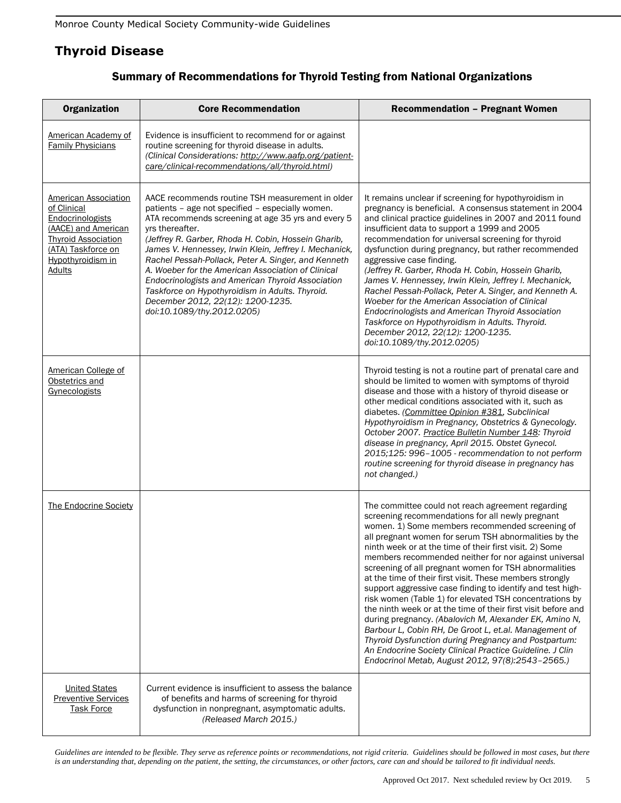| <b>Organization</b>                                                                                                                                                      | <b>Core Recommendation</b>                                                                                                                                                                                                                                                                                                                                                                                                                                                                                                                                                             | <b>Recommendation - Pregnant Women</b>                                                                                                                                                                                                                                                                                                                                                                                                                                                                                                                                                                                                                                                                                                                                                                                                                                                                                                          |
|--------------------------------------------------------------------------------------------------------------------------------------------------------------------------|----------------------------------------------------------------------------------------------------------------------------------------------------------------------------------------------------------------------------------------------------------------------------------------------------------------------------------------------------------------------------------------------------------------------------------------------------------------------------------------------------------------------------------------------------------------------------------------|-------------------------------------------------------------------------------------------------------------------------------------------------------------------------------------------------------------------------------------------------------------------------------------------------------------------------------------------------------------------------------------------------------------------------------------------------------------------------------------------------------------------------------------------------------------------------------------------------------------------------------------------------------------------------------------------------------------------------------------------------------------------------------------------------------------------------------------------------------------------------------------------------------------------------------------------------|
| American Academy of<br><b>Family Physicians</b>                                                                                                                          | Evidence is insufficient to recommend for or against<br>routine screening for thyroid disease in adults.<br>(Clinical Considerations: http://www.aafp.org/patient-<br>care/clinical-recommendations/all/thyroid.html)                                                                                                                                                                                                                                                                                                                                                                  |                                                                                                                                                                                                                                                                                                                                                                                                                                                                                                                                                                                                                                                                                                                                                                                                                                                                                                                                                 |
| American Association<br>of Clinical<br>Endocrinologists<br>(AACE) and American<br><b>Thyroid Association</b><br>(ATA) Taskforce on<br>Hypothyroidism in<br><b>Adults</b> | AACE recommends routine TSH measurement in older<br>patients - age not specified - especially women.<br>ATA recommends screening at age 35 yrs and every 5<br>vrs thereafter.<br>(Jeffrey R. Garber, Rhoda H. Cobin, Hossein Gharib,<br>James V. Hennessey, Irwin Klein, Jeffrey I. Mechanick,<br>Rachel Pessah-Pollack, Peter A. Singer, and Kenneth<br>A. Woeber for the American Association of Clinical<br>Endocrinologists and American Thyroid Association<br>Taskforce on Hypothyroidism in Adults. Thyroid.<br>December 2012, 22(12): 1200-1235.<br>doi:10.1089/thy.2012.0205) | It remains unclear if screening for hypothyroidism in<br>pregnancy is beneficial. A consensus statement in 2004<br>and clinical practice guidelines in 2007 and 2011 found<br>insufficient data to support a 1999 and 2005<br>recommendation for universal screening for thyroid<br>dysfunction during pregnancy, but rather recommended<br>aggressive case finding.<br>(Jeffrey R. Garber, Rhoda H. Cobin, Hossein Gharib,<br>James V. Hennessey, Irwin Klein, Jeffrey I. Mechanick,<br>Rachel Pessah-Pollack, Peter A. Singer, and Kenneth A.<br>Woeber for the American Association of Clinical<br>Endocrinologists and American Thyroid Association<br>Taskforce on Hypothyroidism in Adults. Thyroid.<br>December 2012, 22(12): 1200-1235.<br>doi:10.1089/thy.2012.0205)                                                                                                                                                                   |
| American College of<br>Obstetrics and<br>Gynecologists                                                                                                                   |                                                                                                                                                                                                                                                                                                                                                                                                                                                                                                                                                                                        | Thyroid testing is not a routine part of prenatal care and<br>should be limited to women with symptoms of thyroid<br>disease and those with a history of thyroid disease or<br>other medical conditions associated with it, such as<br>diabetes. (Committee Opinion #381, Subclinical<br>Hypothyroidism in Pregnancy, Obstetrics & Gynecology.<br>October 2007. Practice Bulletin Number 148: Thyroid<br>disease in pregnancy, April 2015. Obstet Gynecol.<br>2015;125: 996-1005 - recommendation to not perform<br>routine screening for thyroid disease in pregnancy has<br>not changed.)                                                                                                                                                                                                                                                                                                                                                     |
| <b>The Endocrine Society</b>                                                                                                                                             |                                                                                                                                                                                                                                                                                                                                                                                                                                                                                                                                                                                        | The committee could not reach agreement regarding<br>screening recommendations for all newly pregnant<br>women. 1) Some members recommended screening of<br>all pregnant women for serum TSH abnormalities by the<br>ninth week or at the time of their first visit. 2) Some<br>members recommended neither for nor against universal<br>screening of all pregnant women for TSH abnormalities<br>at the time of their first visit. These members strongly<br>support aggressive case finding to identify and test high-<br>risk women (Table 1) for elevated TSH concentrations by<br>the ninth week or at the time of their first visit before and<br>during pregnancy. (Abalovich M, Alexander EK, Amino N,<br>Barbour L, Cobin RH, De Groot L, et.al. Management of<br>Thyroid Dysfunction during Pregnancy and Postpartum:<br>An Endocrine Society Clinical Practice Guideline. J Clin<br>Endocrinol Metab, August 2012, 97(8):2543-2565.) |
| <b>United States</b><br><b>Preventive Services</b><br><b>Task Force</b>                                                                                                  | Current evidence is insufficient to assess the balance<br>of benefits and harms of screening for thyroid<br>dysfunction in nonpregnant, asymptomatic adults.<br>(Released March 2015.)                                                                                                                                                                                                                                                                                                                                                                                                 |                                                                                                                                                                                                                                                                                                                                                                                                                                                                                                                                                                                                                                                                                                                                                                                                                                                                                                                                                 |

# Summary of Recommendations for Thyroid Testing from National Organizations

*Guidelines are intended to be flexible. They serve as reference points or recommendations, not rigid criteria. Guidelines should be followed in most cases, but there is an understanding that, depending on the patient, the setting, the circumstances, or other factors, care can and should be tailored to fit individual needs.*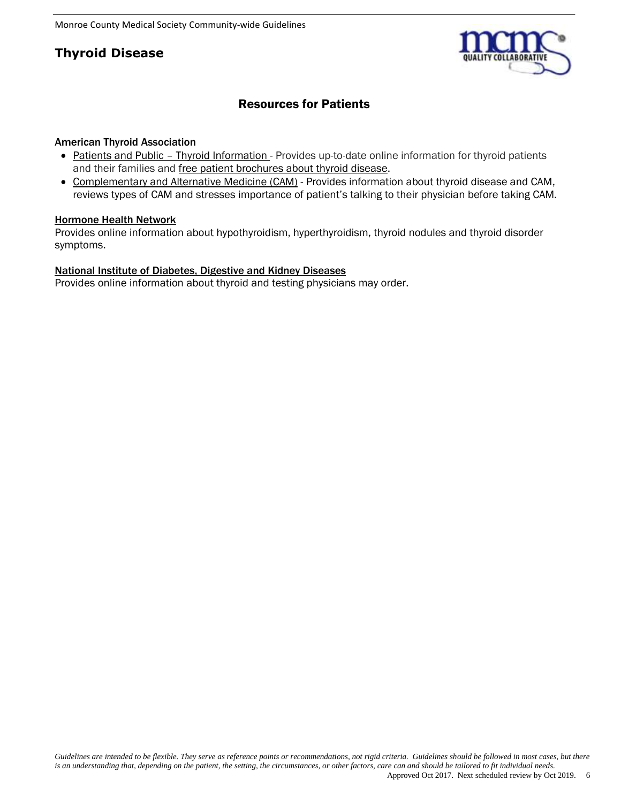

# Resources for Patients

### American Thyroid Association

- Patients and Public [Thyroid Information -](http://www.thyroid.org/patient-thyroid-information/) Provides up-to-date online information for thyroid patients and their families and [free patient brochures about thyroid disease.](http://www.thyroid.org/patient-thyroid-information/ata-patient-education-web-brochures/)
- [Complementary and Alternative Medicine \(CAM\)](http://www.thyroid.org/thyroid-disease-and-complementary-and-alternative-medicine-cam/) Provides information about thyroid disease and CAM, reviews types of CAM and stresses importance of patient's talking to their physician before taking CAM.

### [Hormone Health Network](http://www.hormone.org/diseases-and-conditions/thyroid/overview)

Provides online information about hypothyroidism, hyperthyroidism, thyroid nodules and thyroid disorder symptoms.

### [National Institute of Diabetes, Digestive and Kidney Diseases](http://www.niddk.nih.gov/health-information/health-topics/diagnostic-tests/thyroid-tests/Pages/default.aspx)

Provides online information about thyroid and testing physicians may order.